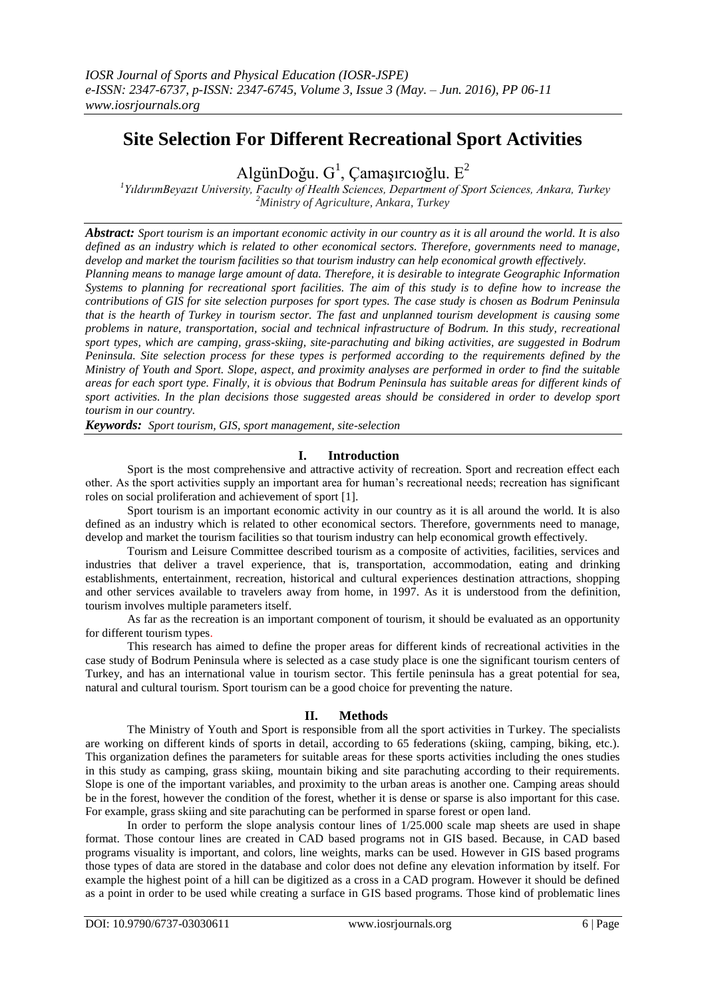# **Site Selection For Different Recreational Sport Activities**

AlgünDoğu.  $G^1$ , Çamaşırcıoğlu.  $E^2$ 

*1 YıldırımBeyazıt University, Faculty of Health Sciences, Department of Sport Sciences, Ankara, Turkey <sup>2</sup>Ministry of Agriculture, Ankara, Turkey*

*Abstract: Sport tourism is an important economic activity in our country as it is all around the world. It is also defined as an industry which is related to other economical sectors. Therefore, governments need to manage, develop and market the tourism facilities so that tourism industry can help economical growth effectively.* 

*Planning means to manage large amount of data. Therefore, it is desirable to integrate Geographic Information Systems to planning for recreational sport facilities. The aim of this study is to define how to increase the contributions of GIS for site selection purposes for sport types. The case study is chosen as Bodrum Peninsula that is the hearth of Turkey in tourism sector. The fast and unplanned tourism development is causing some problems in nature, transportation, social and technical infrastructure of Bodrum. In this study, recreational sport types, which are camping, grass-skiing, site-parachuting and biking activities, are suggested in Bodrum Peninsula. Site selection process for these types is performed according to the requirements defined by the Ministry of Youth and Sport. Slope, aspect, and proximity analyses are performed in order to find the suitable areas for each sport type. Finally, it is obvious that Bodrum Peninsula has suitable areas for different kinds of sport activities. In the plan decisions those suggested areas should be considered in order to develop sport tourism in our country.*

*Keywords: Sport tourism, GIS, sport management, site-selection*

# **I. Introduction**

Sport is the most comprehensive and attractive activity of recreation. Sport and recreation effect each other. As the sport activities supply an important area for human's recreational needs; recreation has significant roles on social proliferation and achievement of sport [1].

Sport tourism is an important economic activity in our country as it is all around the world. It is also defined as an industry which is related to other economical sectors. Therefore, governments need to manage, develop and market the tourism facilities so that tourism industry can help economical growth effectively.

Tourism and Leisure Committee described tourism as a composite of activities, facilities, services and industries that deliver a travel experience, that is, transportation, accommodation, eating and drinking establishments, entertainment, recreation, historical and cultural experiences destination attractions, shopping and other services available to travelers away from home, in 1997. As it is understood from the definition, tourism involves multiple parameters itself.

As far as the recreation is an important component of tourism, it should be evaluated as an opportunity for different tourism types.

This research has aimed to define the proper areas for different kinds of recreational activities in the case study of Bodrum Peninsula where is selected as a case study place is one the significant tourism centers of Turkey, and has an international value in tourism sector. This fertile peninsula has a great potential for sea, natural and cultural tourism. Sport tourism can be a good choice for preventing the nature.

# **II. Methods**

The Ministry of Youth and Sport is responsible from all the sport activities in Turkey. The specialists are working on different kinds of sports in detail, according to 65 federations (skiing, camping, biking, etc.). This organization defines the parameters for suitable areas for these sports activities including the ones studies in this study as camping, grass skiing, mountain biking and site parachuting according to their requirements. Slope is one of the important variables, and proximity to the urban areas is another one. Camping areas should be in the forest, however the condition of the forest, whether it is dense or sparse is also important for this case. For example, grass skiing and site parachuting can be performed in sparse forest or open land.

In order to perform the slope analysis contour lines of  $1/25.000$  scale map sheets are used in shape format. Those contour lines are created in CAD based programs not in GIS based. Because, in CAD based programs visuality is important, and colors, line weights, marks can be used. However in GIS based programs those types of data are stored in the database and color does not define any elevation information by itself. For example the highest point of a hill can be digitized as a cross in a CAD program. However it should be defined as a point in order to be used while creating a surface in GIS based programs. Those kind of problematic lines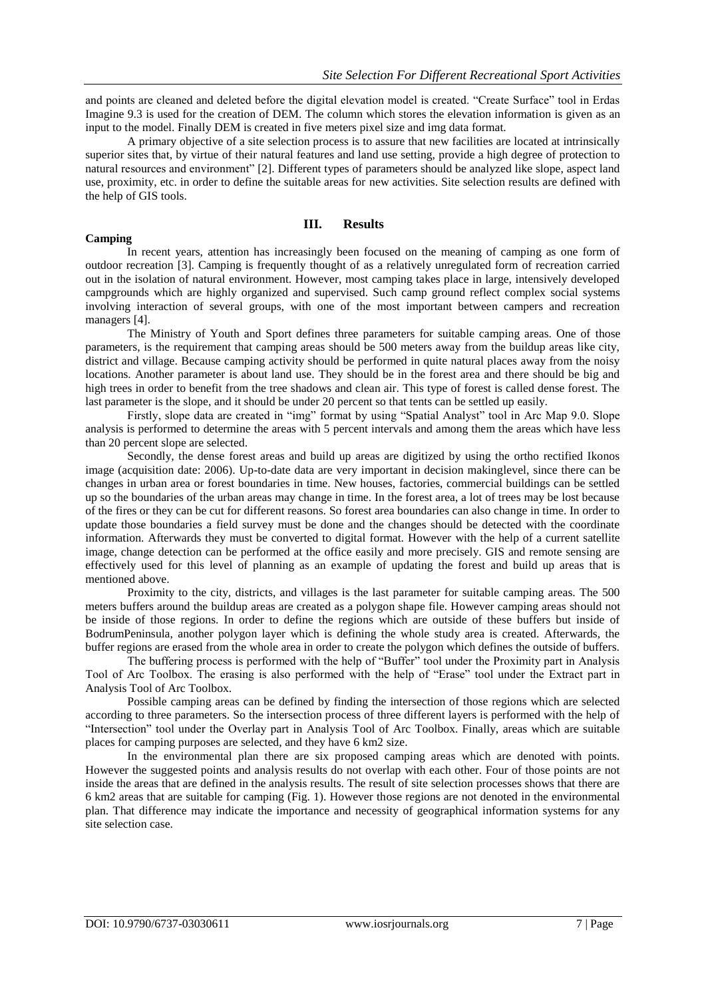and points are cleaned and deleted before the digital elevation model is created. "Create Surface" tool in Erdas Imagine 9.3 is used for the creation of DEM. The column which stores the elevation information is given as an input to the model. Finally DEM is created in five meters pixel size and img data format.

A primary objective of a site selection process is to assure that new facilities are located at intrinsically superior sites that, by virtue of their natural features and land use setting, provide a high degree of protection to natural resources and environment" [2]. Different types of parameters should be analyzed like slope, aspect land use, proximity, etc. in order to define the suitable areas for new activities. Site selection results are defined with the help of GIS tools.

#### **Camping**

#### **III. Results**

In recent years, attention has increasingly been focused on the meaning of camping as one form of outdoor recreation [3]. Camping is frequently thought of as a relatively unregulated form of recreation carried out in the isolation of natural environment. However, most camping takes place in large, intensively developed campgrounds which are highly organized and supervised. Such camp ground reflect complex social systems involving interaction of several groups, with one of the most important between campers and recreation managers [4].

#### The Ministry of Youth and Sport defines three parameters for suitable camping areas. One of those parameters, is the requirement that camping areas should be 500 meters away from the buildup areas like city, district and village. Because camping activity should be performed in quite natural places away from the noisy locations. Another parameter is about land use. They should be in the forest area and there should be big and high trees in order to benefit from the tree shadows and clean air. This type of forest is called dense forest. The last parameter is the slope, and it should be under 20 percent so that tents can be settled up easily.

Firstly, slope data are created in "img" format by using "Spatial Analyst" tool in Arc Map 9.0. Slope analysis is performed to determine the areas with 5 percent intervals and among them the areas which have less than 20 percent slope are selected.

Secondly, the dense forest areas and build up areas are digitized by using the ortho rectified Ikonos image (acquisition date: 2006). Up-to-date data are very important in decision makinglevel, since there can be changes in urban area or forest boundaries in time. New houses, factories, commercial buildings can be settled up so the boundaries of the urban areas may change in time. In the forest area, a lot of trees may be lost because of the fires or they can be cut for different reasons. So forest area boundaries can also change in time. In order to update those boundaries a field survey must be done and the changes should be detected with the coordinate information. Afterwards they must be converted to digital format. However with the help of a current satellite image, change detection can be performed at the office easily and more precisely. GIS and remote sensing are effectively used for this level of planning as an example of updating the forest and build up areas that is mentioned above.

Proximity to the city, districts, and villages is the last parameter for suitable camping areas. The 500 meters buffers around the buildup areas are created as a polygon shape file. However camping areas should not be inside of those regions. In order to define the regions which are outside of these buffers but inside of BodrumPeninsula, another polygon layer which is defining the whole study area is created. Afterwards, the buffer regions are erased from the whole area in order to create the polygon which defines the outside of buffers.

The buffering process is performed with the help of "Buffer" tool under the Proximity part in Analysis Tool of Arc Toolbox. The erasing is also performed with the help of "Erase" tool under the Extract part in Analysis Tool of Arc Toolbox.

Possible camping areas can be defined by finding the intersection of those regions which are selected according to three parameters. So the intersection process of three different layers is performed with the help of "Intersection" tool under the Overlay part in Analysis Tool of Arc Toolbox. Finally, areas which are suitable places for camping purposes are selected, and they have 6 km2 size.

In the environmental plan there are six proposed camping areas which are denoted with points. However the suggested points and analysis results do not overlap with each other. Four of those points are not inside the areas that are defined in the analysis results. The result of site selection processes shows that there are 6 km2 areas that are suitable for camping (Fig. 1). However those regions are not denoted in the environmental plan. That difference may indicate the importance and necessity of geographical information systems for any site selection case.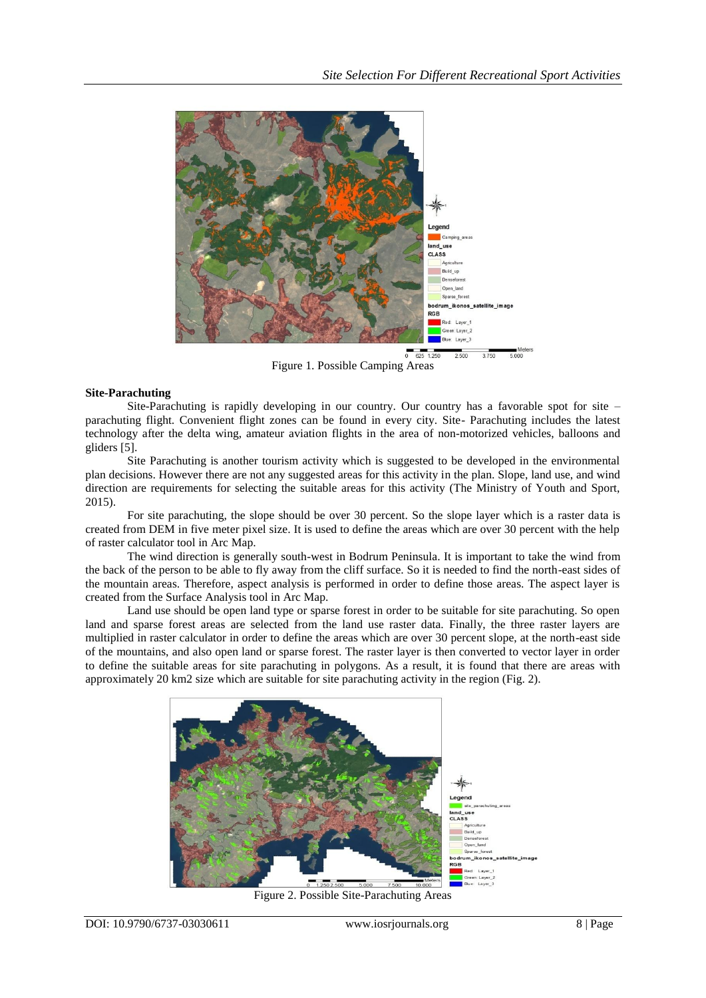

Figure 1. Possible Camping Areas

#### **Site-Parachuting**

Site-Parachuting is rapidly developing in our country. Our country has a favorable spot for site – parachuting flight. Convenient flight zones can be found in every city. Site- Parachuting includes the latest technology after the delta wing, amateur aviation flights in the area of non-motorized vehicles, balloons and gliders [5].

Site Parachuting is another tourism activity which is suggested to be developed in the environmental plan decisions. However there are not any suggested areas for this activity in the plan. Slope, land use, and wind direction are requirements for selecting the suitable areas for this activity (The Ministry of Youth and Sport, 2015).

For site parachuting, the slope should be over 30 percent. So the slope layer which is a raster data is created from DEM in five meter pixel size. It is used to define the areas which are over 30 percent with the help of raster calculator tool in Arc Map.

The wind direction is generally south-west in Bodrum Peninsula. It is important to take the wind from the back of the person to be able to fly away from the cliff surface. So it is needed to find the north-east sides of the mountain areas. Therefore, aspect analysis is performed in order to define those areas. The aspect layer is created from the Surface Analysis tool in Arc Map.

Land use should be open land type or sparse forest in order to be suitable for site parachuting. So open land and sparse forest areas are selected from the land use raster data. Finally, the three raster layers are multiplied in raster calculator in order to define the areas which are over 30 percent slope, at the north-east side of the mountains, and also open land or sparse forest. The raster layer is then converted to vector layer in order to define the suitable areas for site parachuting in polygons. As a result, it is found that there are areas with approximately 20 km2 size which are suitable for site parachuting activity in the region (Fig. 2).



Figure 2. Possible Site-Parachuting Areas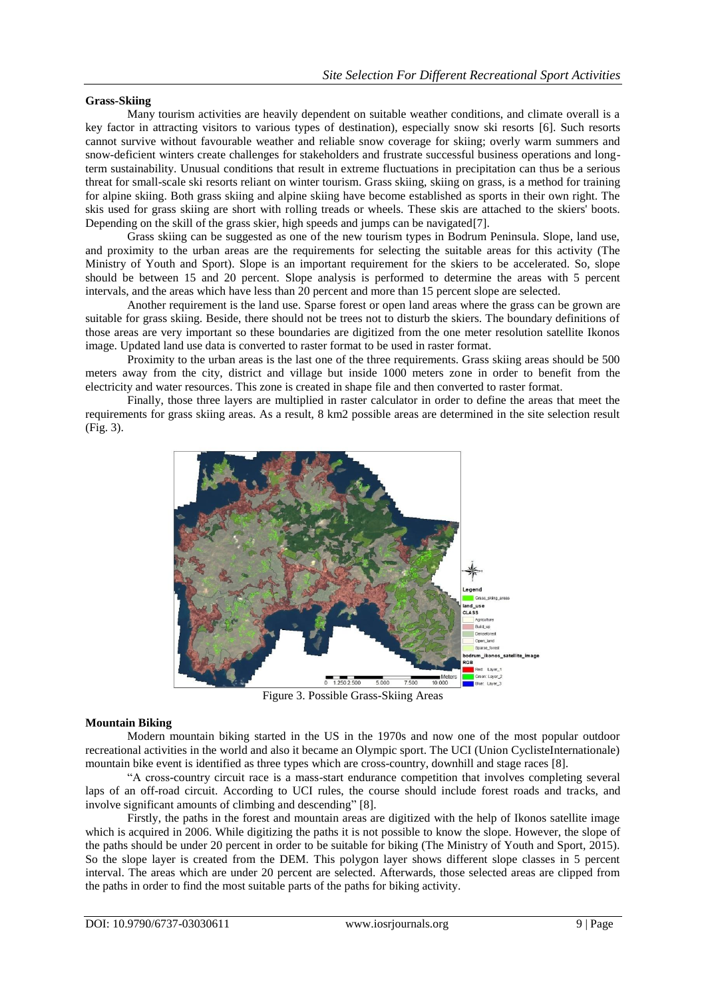#### **Grass-Skiing**

Many tourism activities are heavily dependent on suitable weather conditions, and climate overall is a key factor in attracting visitors to various types of destination), especially snow ski resorts [6]. Such resorts cannot survive without favourable weather and reliable snow coverage for skiing; overly warm summers and snow-deficient winters create challenges for stakeholders and frustrate successful business operations and longterm sustainability. Unusual conditions that result in extreme fluctuations in precipitation can thus be a serious threat for small-scale ski resorts reliant on winter tourism. Grass skiing, [skiing](https://en.wikipedia.org/wiki/Skiing) on [grass,](https://en.wikipedia.org/wiki/Grass) is a method for training for [alpine skiing.](https://en.wikipedia.org/wiki/Alpine_skiing) Both grass skiing and alpine skiing have become established as sports in their own right. The skis used for grass skiing are short with rolling treads or wheels. These skis are attached to the skiers' boots. Depending on the skill of the grass skier, high speeds and jumps can be navigated [7].

Grass skiing can be suggested as one of the new tourism types in Bodrum Peninsula. Slope, land use, and proximity to the urban areas are the requirements for selecting the suitable areas for this activity (The Ministry of Youth and Sport). Slope is an important requirement for the skiers to be accelerated. So, slope should be between 15 and 20 percent. Slope analysis is performed to determine the areas with 5 percent intervals, and the areas which have less than 20 percent and more than 15 percent slope are selected.

Another requirement is the land use. Sparse forest or open land areas where the grass can be grown are suitable for grass skiing. Beside, there should not be trees not to disturb the skiers. The boundary definitions of those areas are very important so these boundaries are digitized from the one meter resolution satellite Ikonos image. Updated land use data is converted to raster format to be used in raster format.

Proximity to the urban areas is the last one of the three requirements. Grass skiing areas should be 500 meters away from the city, district and village but inside 1000 meters zone in order to benefit from the electricity and water resources. This zone is created in shape file and then converted to raster format.

Finally, those three layers are multiplied in raster calculator in order to define the areas that meet the requirements for grass skiing areas. As a result, 8 km2 possible areas are determined in the site selection result (Fig. 3).



Figure 3. Possible Grass-Skiing Areas

#### **Mountain Biking**

Modern mountain biking started in the US in the 1970s and now one of the most popular outdoor recreational activities in the world and also it became an Olympic sport. The UCI (Union CyclisteInternationale) mountain bike event is identified as three types which are cross-country, downhill and stage races [8].

"A cross-country circuit race is a mass-start endurance competition that involves completing several laps of an off-road circuit. According to UCI rules, the course should include forest roads and tracks, and involve significant amounts of climbing and descending" [8].

Firstly, the paths in the forest and mountain areas are digitized with the help of Ikonos satellite image which is acquired in 2006. While digitizing the paths it is not possible to know the slope. However, the slope of the paths should be under 20 percent in order to be suitable for biking (The Ministry of Youth and Sport, 2015). So the slope layer is created from the DEM. This polygon layer shows different slope classes in 5 percent interval. The areas which are under 20 percent are selected. Afterwards, those selected areas are clipped from the paths in order to find the most suitable parts of the paths for biking activity.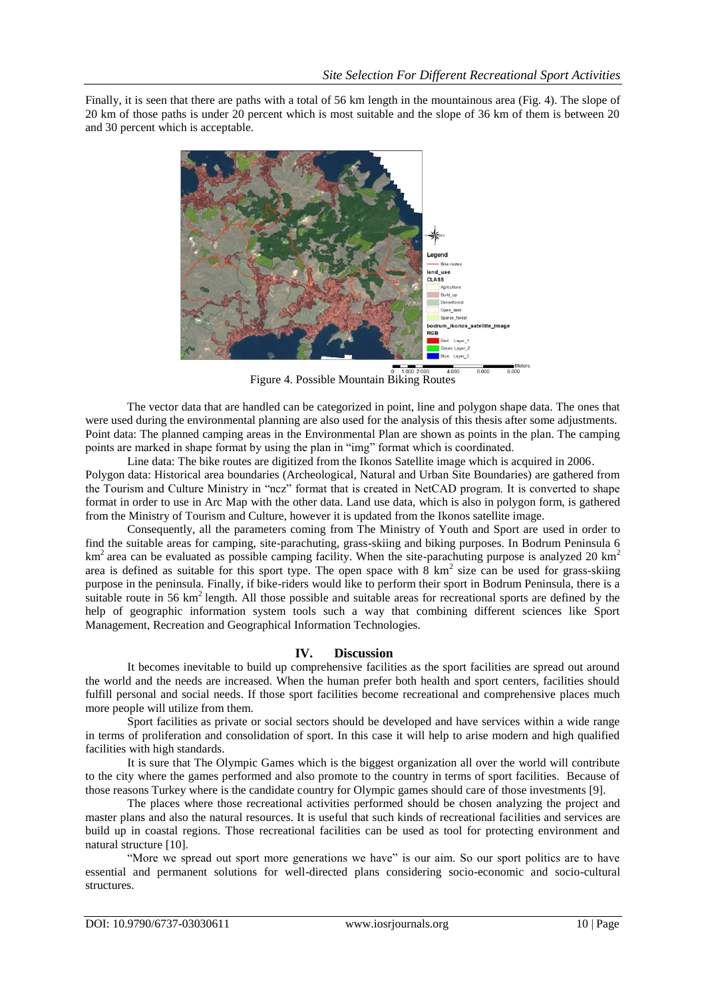Finally, it is seen that there are paths with a total of 56 km length in the mountainous area (Fig. 4). The slope of 20 km of those paths is under 20 percent which is most suitable and the slope of 36 km of them is between 20 and 30 percent which is acceptable.



Figure 4. Possible Mountain Biking Routes

The vector data that are handled can be categorized in point, line and polygon shape data. The ones that were used during the environmental planning are also used for the analysis of this thesis after some adjustments. Point data: The planned camping areas in the Environmental Plan are shown as points in the plan. The camping points are marked in shape format by using the plan in "img" format which is coordinated.

Line data: The bike routes are digitized from the Ikonos Satellite image which is acquired in 2006. Polygon data: Historical area boundaries (Archeological, Natural and Urban Site Boundaries) are gathered from the Tourism and Culture Ministry in "ncz" format that is created in NetCAD program. It is converted to shape format in order to use in Arc Map with the other data. Land use data, which is also in polygon form, is gathered from the Ministry of Tourism and Culture, however it is updated from the Ikonos satellite image.

Consequently, all the parameters coming from The Ministry of Youth and Sport are used in order to find the suitable areas for camping, site-parachuting, grass-skiing and biking purposes. In Bodrum Peninsula 6  $km<sup>2</sup>$  area can be evaluated as possible camping facility. When the site-parachuting purpose is analyzed 20 km<sup>2</sup> area is defined as suitable for this sport type. The open space with  $8 \text{ km}^2$  size can be used for grass-skiing purpose in the peninsula. Finally, if bike-riders would like to perform their sport in Bodrum Peninsula, there is a suitable route in 56 km<sup>2</sup> length. All those possible and suitable areas for recreational sports are defined by the help of geographic information system tools such a way that combining different sciences like Sport Management, Recreation and Geographical Information Technologies.

# **IV. Discussion**

It becomes inevitable to build up comprehensive facilities as the sport facilities are spread out around the world and the needs are increased. When the human prefer both health and sport centers, facilities should fulfill personal and social needs. If those sport facilities become recreational and comprehensive places much more people will utilize from them.

Sport facilities as private or social sectors should be developed and have services within a wide range in terms of proliferation and consolidation of sport. In this case it will help to arise modern and high qualified facilities with high standards.

It is sure that The Olympic Games which is the biggest organization all over the world will contribute to the city where the games performed and also promote to the country in terms of sport facilities. Because of those reasons Turkey where is the candidate country for Olympic games should care of those investments [9].

The places where those recreational activities performed should be chosen analyzing the project and master plans and also the natural resources. It is useful that such kinds of recreational facilities and services are build up in coastal regions. Those recreational facilities can be used as tool for protecting environment and natural structure [10].

"More we spread out sport more generations we have" is our aim. So our sport politics are to have essential and permanent solutions for well-directed plans considering socio-economic and socio-cultural structures.